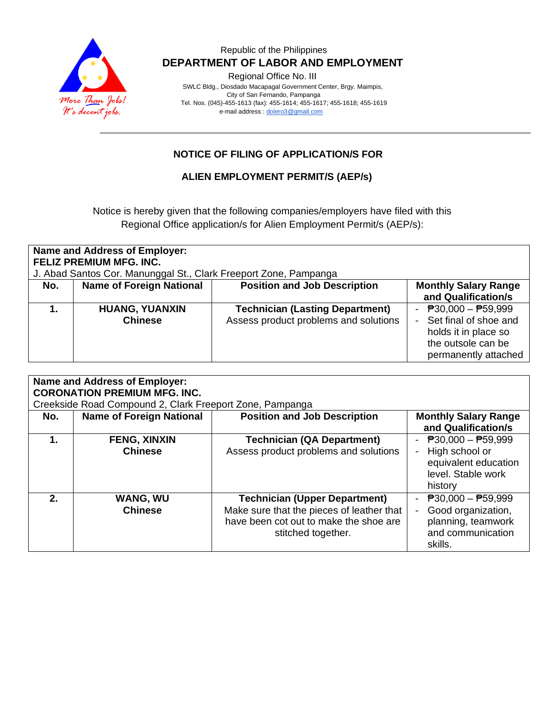

Regional Office No. III

 SWLC Bldg., Diosdado Macapagal Government Center, Brgy. Maimpis, City of San Fernando, Pampanga Tel. Nos. (045)-455-1613 (fax): 455-1614; 455-1617; 455-1618; 455-1619 e-mail address [: dolero3@gmail.com](mailto:dolero3@gmail.com)

#### **NOTICE OF FILING OF APPLICATION/S FOR**

#### **ALIEN EMPLOYMENT PERMIT/S (AEP/s)**

Notice is hereby given that the following companies/employers have filed with this Regional Office application/s for Alien Employment Permit/s (AEP/s):

| <b>Name and Address of Employer:</b><br><b>FELIZ PREMIUM MFG. INC.</b><br>J. Abad Santos Cor. Manunggal St., Clark Freeport Zone, Pampanga |                                         |                                                                                 |                                                                                                                                          |  |
|--------------------------------------------------------------------------------------------------------------------------------------------|-----------------------------------------|---------------------------------------------------------------------------------|------------------------------------------------------------------------------------------------------------------------------------------|--|
| No.                                                                                                                                        | <b>Name of Foreign National</b>         | <b>Position and Job Description</b>                                             | <b>Monthly Salary Range</b><br>and Qualification/s                                                                                       |  |
|                                                                                                                                            | <b>HUANG, YUANXIN</b><br><b>Chinese</b> | <b>Technician (Lasting Department)</b><br>Assess product problems and solutions | <sup>2</sup> 30,000 − <sup>259</sup> ,999<br>Set final of shoe and<br>holds it in place so<br>the outsole can be<br>permanently attached |  |

| <b>Name and Address of Employer:</b><br><b>CORONATION PREMIUM MFG. INC.</b><br>Creekside Road Compound 2, Clark Freeport Zone, Pampanga |                                       |                                                                                                                                                   |                                                                                                                      |  |
|-----------------------------------------------------------------------------------------------------------------------------------------|---------------------------------------|---------------------------------------------------------------------------------------------------------------------------------------------------|----------------------------------------------------------------------------------------------------------------------|--|
| No.                                                                                                                                     | <b>Name of Foreign National</b>       | <b>Position and Job Description</b>                                                                                                               | <b>Monthly Salary Range</b><br>and Qualification/s                                                                   |  |
| 1.                                                                                                                                      | <b>FENG, XINXIN</b><br><b>Chinese</b> | <b>Technician (QA Department)</b><br>Assess product problems and solutions                                                                        | $\overline{P}30,000 - \overline{P}59,999$<br>High school or<br>equivalent education<br>level. Stable work<br>history |  |
| 2.                                                                                                                                      | <b>WANG, WU</b><br><b>Chinese</b>     | <b>Technician (Upper Department)</b><br>Make sure that the pieces of leather that<br>have been cot out to make the shoe are<br>stitched together. | $P30,000 - P59,999$<br>Good organization,<br>planning, teamwork<br>and communication<br>skills.                      |  |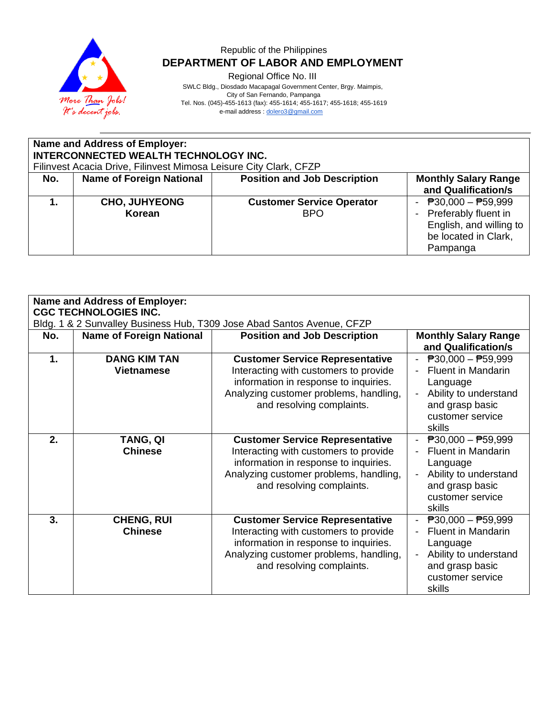

Regional Office No. III

SWLC Bldg., Diosdado Macapagal Government Center, Brgy. Maimpis,

 City of San Fernando, Pampanga Tel. Nos. (045)-455-1613 (fax): 455-1614; 455-1617; 455-1618; 455-1619

e-mail address [: dolero3@gmail.com](mailto:dolero3@gmail.com)

| <b>Name and Address of Employer:</b><br>INTERCONNECTED WEALTH TECHNOLOGY INC.<br>Filinvest Acacia Drive, Filinvest Mimosa Leisure City Clark, CFZP |                                 |                                                |                                                                                                                |
|----------------------------------------------------------------------------------------------------------------------------------------------------|---------------------------------|------------------------------------------------|----------------------------------------------------------------------------------------------------------------|
| No.                                                                                                                                                | <b>Name of Foreign National</b> | <b>Position and Job Description</b>            | <b>Monthly Salary Range</b><br>and Qualification/s                                                             |
|                                                                                                                                                    | <b>CHO, JUHYEONG</b><br>Korean  | <b>Customer Service Operator</b><br><b>BPO</b> | - $P30,000 - P59,999$<br>- Preferably fluent in<br>English, and willing to<br>be located in Clark,<br>Pampanga |

| <b>Name and Address of Employer:</b> |                                                                                                        |                                                                                                                                                                                                 |                                                                                                                                                       |  |  |
|--------------------------------------|--------------------------------------------------------------------------------------------------------|-------------------------------------------------------------------------------------------------------------------------------------------------------------------------------------------------|-------------------------------------------------------------------------------------------------------------------------------------------------------|--|--|
|                                      | <b>CGC TECHNOLOGIES INC.</b><br>Bldg. 1 & 2 Sunvalley Business Hub, T309 Jose Abad Santos Avenue, CFZP |                                                                                                                                                                                                 |                                                                                                                                                       |  |  |
| No.                                  | <b>Name of Foreign National</b>                                                                        | <b>Position and Job Description</b>                                                                                                                                                             | <b>Monthly Salary Range</b><br>and Qualification/s                                                                                                    |  |  |
| 1.                                   | <b>DANG KIM TAN</b><br><b>Vietnamese</b>                                                               | <b>Customer Service Representative</b><br>Interacting with customers to provide<br>information in response to inquiries.<br>Analyzing customer problems, handling,<br>and resolving complaints. | $\overline{P}30,000 - \overline{P}59,999$<br>Fluent in Mandarin<br>Language<br>Ability to understand<br>and grasp basic<br>customer service<br>skills |  |  |
| 2.                                   | TANG, QI<br><b>Chinese</b>                                                                             | <b>Customer Service Representative</b><br>Interacting with customers to provide<br>information in response to inquiries.<br>Analyzing customer problems, handling,<br>and resolving complaints. | - $P30,000 - P59,999$<br><b>Fluent in Mandarin</b><br>Language<br>Ability to understand<br>and grasp basic<br>customer service<br>skills              |  |  |
| 3.                                   | <b>CHENG, RUI</b><br><b>Chinese</b>                                                                    | <b>Customer Service Representative</b><br>Interacting with customers to provide<br>information in response to inquiries.<br>Analyzing customer problems, handling,<br>and resolving complaints. | $\overline{P}30,000 - \overline{P}59,999$<br>Fluent in Mandarin<br>Language<br>Ability to understand<br>and grasp basic<br>customer service<br>skills |  |  |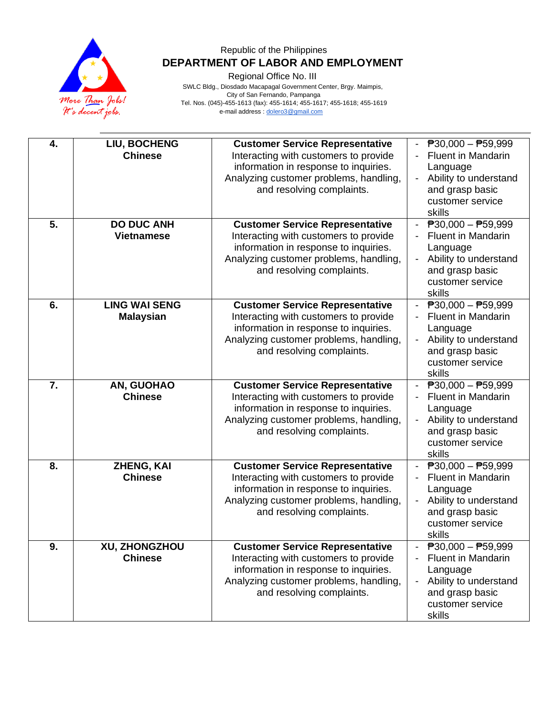

Regional Office No. III

| 4.<br>5. | LIU, BOCHENG<br><b>Chinese</b><br><b>DO DUC ANH</b> | <b>Customer Service Representative</b><br>Interacting with customers to provide<br>information in response to inquiries.<br>Analyzing customer problems, handling,<br>and resolving complaints.<br><b>Customer Service Representative</b> | $\overline{P}30,000 - \overline{P}59,999$<br><b>Fluent in Mandarin</b><br>Language<br>Ability to understand<br>$\blacksquare$<br>and grasp basic<br>customer service<br>skills<br>$\overline{P}30,000 - \overline{P}59,999$ |
|----------|-----------------------------------------------------|-------------------------------------------------------------------------------------------------------------------------------------------------------------------------------------------------------------------------------------------|-----------------------------------------------------------------------------------------------------------------------------------------------------------------------------------------------------------------------------|
|          | <b>Vietnamese</b>                                   | Interacting with customers to provide<br>information in response to inquiries.<br>Analyzing customer problems, handling,<br>and resolving complaints.                                                                                     | <b>Fluent in Mandarin</b><br>Language<br>Ability to understand<br>$\overline{\phantom{0}}$<br>and grasp basic<br>customer service<br>skills                                                                                 |
| 6.       | <b>LING WAI SENG</b><br><b>Malaysian</b>            | <b>Customer Service Representative</b><br>Interacting with customers to provide<br>information in response to inquiries.<br>Analyzing customer problems, handling,<br>and resolving complaints.                                           | $P30,000 - P59,999$<br><b>Fluent in Mandarin</b><br>Language<br>Ability to understand<br>$\overline{\phantom{0}}$<br>and grasp basic<br>customer service<br>skills                                                          |
| 7.       | AN, GUOHAO<br><b>Chinese</b>                        | <b>Customer Service Representative</b><br>Interacting with customers to provide<br>information in response to inquiries.<br>Analyzing customer problems, handling,<br>and resolving complaints.                                           | $\overline{P}30,000 - \overline{P}59,999$<br><b>Fluent in Mandarin</b><br>$\overline{\phantom{a}}$<br>Language<br>Ability to understand<br>$\overline{\phantom{a}}$<br>and grasp basic<br>customer service<br>skills        |
| 8.       | ZHENG, KAI<br><b>Chinese</b>                        | <b>Customer Service Representative</b><br>Interacting with customers to provide<br>information in response to inquiries.<br>Analyzing customer problems, handling,<br>and resolving complaints.                                           | $P30,000 - P59,999$<br><b>Fluent in Mandarin</b><br>Language<br>Ability to understand<br>and grasp basic<br>customer service<br>skills                                                                                      |
| 9.       | XU, ZHONGZHOU<br><b>Chinese</b>                     | <b>Customer Service Representative</b><br>Interacting with customers to provide<br>information in response to inquiries.<br>Analyzing customer problems, handling,<br>and resolving complaints.                                           | $\overline{P}30,000 - \overline{P}59,999$<br><b>Fluent in Mandarin</b><br>Language<br>Ability to understand<br>and grasp basic<br>customer service<br>skills                                                                |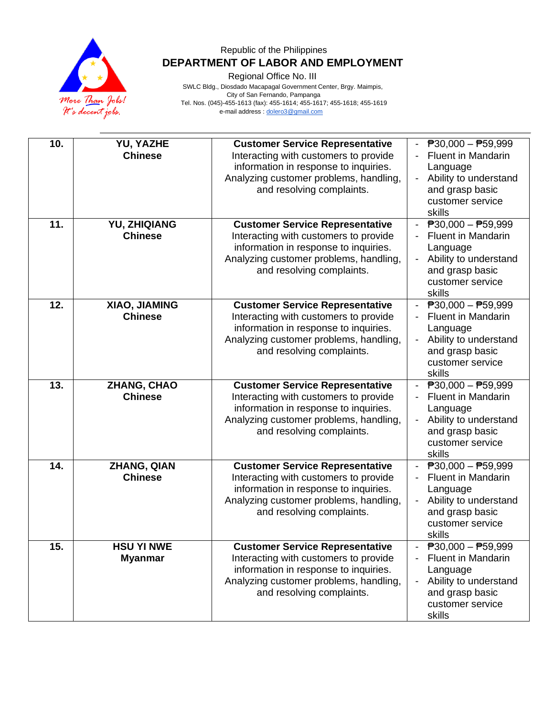

Regional Office No. III

| 10. | <b>YU, YAZHE</b><br><b>Chinese</b>   | <b>Customer Service Representative</b><br>Interacting with customers to provide<br>information in response to inquiries.<br>Analyzing customer problems, handling,<br>and resolving complaints. | $\overline{P}30,000 - \overline{P}59,999$<br><b>Fluent in Mandarin</b><br>Language<br>Ability to understand<br>and grasp basic<br>customer service<br>skills  |
|-----|--------------------------------------|-------------------------------------------------------------------------------------------------------------------------------------------------------------------------------------------------|---------------------------------------------------------------------------------------------------------------------------------------------------------------|
| 11. | YU, ZHIQIANG<br><b>Chinese</b>       | <b>Customer Service Representative</b><br>Interacting with customers to provide<br>information in response to inquiries.<br>Analyzing customer problems, handling,<br>and resolving complaints. | $\overline{P}30,000 - \overline{P}59,999$<br><b>Fluent in Mandarin</b><br>Language<br>Ability to understand<br>and grasp basic<br>customer service<br>skills  |
| 12. | XIAO, JIAMING<br><b>Chinese</b>      | <b>Customer Service Representative</b><br>Interacting with customers to provide<br>information in response to inquiries.<br>Analyzing customer problems, handling,<br>and resolving complaints. | $ \overline{P}30,000 - \overline{P}59,999$<br><b>Fluent in Mandarin</b><br>Language<br>Ability to understand<br>and grasp basic<br>customer service<br>skills |
| 13. | <b>ZHANG, CHAO</b><br><b>Chinese</b> | <b>Customer Service Representative</b><br>Interacting with customers to provide<br>information in response to inquiries.<br>Analyzing customer problems, handling,<br>and resolving complaints. | $\overline{P}30,000 - \overline{P}59,999$<br><b>Fluent in Mandarin</b><br>Language<br>Ability to understand<br>and grasp basic<br>customer service<br>skills  |
| 14. | ZHANG, QIAN<br><b>Chinese</b>        | <b>Customer Service Representative</b><br>Interacting with customers to provide<br>information in response to inquiries.<br>Analyzing customer problems, handling,<br>and resolving complaints. | $P30,000 - P59,999$<br><b>Fluent in Mandarin</b><br>Language<br>Ability to understand<br>and grasp basic<br>customer service<br>skills                        |
| 15. | <b>HSU YI NWE</b><br><b>Myanmar</b>  | <b>Customer Service Representative</b><br>Interacting with customers to provide<br>information in response to inquiries.<br>Analyzing customer problems, handling,<br>and resolving complaints. | $P30,000 - P59,999$<br><b>Fluent in Mandarin</b><br>Language<br>Ability to understand<br>and grasp basic<br>customer service<br>skills                        |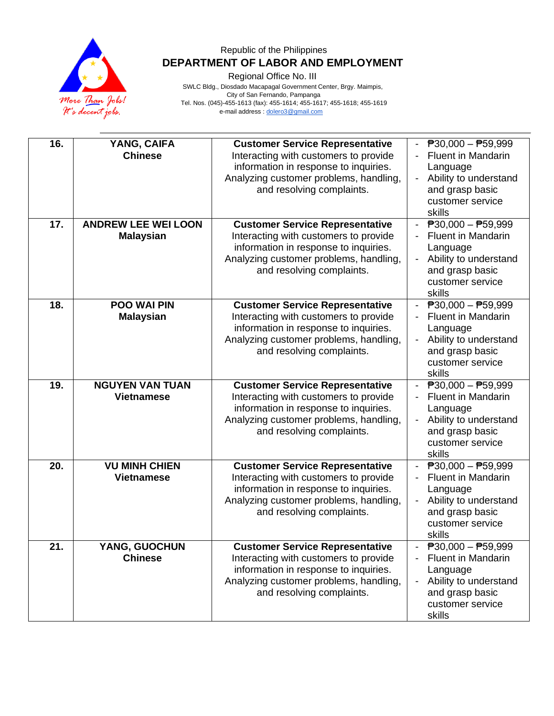

Regional Office No. III

| 16.<br>17. | YANG, CAIFA<br><b>Chinese</b><br><b>ANDREW LEE WEI LOON</b><br><b>Malaysian</b> | <b>Customer Service Representative</b><br>Interacting with customers to provide<br>information in response to inquiries.<br>Analyzing customer problems, handling,<br>and resolving complaints.<br><b>Customer Service Representative</b><br>Interacting with customers to provide<br>information in response to inquiries.<br>Analyzing customer problems, handling,<br>and resolving complaints. | $\overline{P}30,000 - \overline{P}59,999$<br><b>Fluent in Mandarin</b><br>Language<br>Ability to understand<br>$\blacksquare$<br>and grasp basic<br>customer service<br>skills<br>$\overline{P}30,000 - \overline{P}59,999$<br><b>Fluent in Mandarin</b><br>Language<br>Ability to understand<br>$\overline{\phantom{0}}$<br>and grasp basic |
|------------|---------------------------------------------------------------------------------|----------------------------------------------------------------------------------------------------------------------------------------------------------------------------------------------------------------------------------------------------------------------------------------------------------------------------------------------------------------------------------------------------|----------------------------------------------------------------------------------------------------------------------------------------------------------------------------------------------------------------------------------------------------------------------------------------------------------------------------------------------|
| 18.        | <b>POO WAI PIN</b><br><b>Malaysian</b>                                          | <b>Customer Service Representative</b><br>Interacting with customers to provide<br>information in response to inquiries.<br>Analyzing customer problems, handling,                                                                                                                                                                                                                                 | customer service<br>skills<br>$\overline{P}30,000 - \overline{P}59,999$<br><b>Fluent in Mandarin</b><br>Language<br>Ability to understand<br>$\overline{\phantom{a}}$                                                                                                                                                                        |
| 19.        | <b>NGUYEN VAN TUAN</b>                                                          | and resolving complaints.<br><b>Customer Service Representative</b>                                                                                                                                                                                                                                                                                                                                | and grasp basic<br>customer service<br>skills<br>- $P30,000 - P59,999$                                                                                                                                                                                                                                                                       |
|            | <b>Vietnamese</b>                                                               | Interacting with customers to provide<br>information in response to inquiries.<br>Analyzing customer problems, handling,<br>and resolving complaints.                                                                                                                                                                                                                                              | <b>Fluent in Mandarin</b><br>Language<br>Ability to understand<br>and grasp basic<br>customer service<br>skills                                                                                                                                                                                                                              |
| 20.        | <b>VU MINH CHIEN</b><br><b>Vietnamese</b>                                       | <b>Customer Service Representative</b><br>Interacting with customers to provide<br>information in response to inquiries.<br>Analyzing customer problems, handling,<br>and resolving complaints.                                                                                                                                                                                                    | $\overline{P}30,000 - P59,999$<br><b>Fluent in Mandarin</b><br>Language<br>Ability to understand<br>and grasp basic<br>customer service<br>skills                                                                                                                                                                                            |
| 21.        | YANG, GUOCHUN<br><b>Chinese</b>                                                 | <b>Customer Service Representative</b><br>Interacting with customers to provide<br>information in response to inquiries.<br>Analyzing customer problems, handling,<br>and resolving complaints.                                                                                                                                                                                                    | $\overline{P}30,000 - \overline{P}59,999$<br><b>Fluent in Mandarin</b><br>Language<br>Ability to understand<br>and grasp basic<br>customer service<br>skills                                                                                                                                                                                 |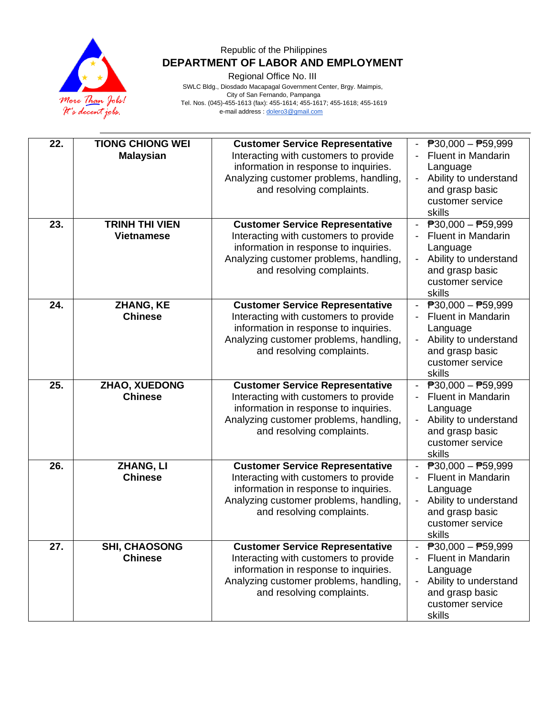

Regional Office No. III

| 22.<br>23. | <b>TIONG CHIONG WEI</b><br><b>Malaysian</b><br><b>TRINH THI VIEN</b> | <b>Customer Service Representative</b><br>Interacting with customers to provide<br>information in response to inquiries.<br>Analyzing customer problems, handling,<br>and resolving complaints.<br><b>Customer Service Representative</b> | $\overline{P}30,000 - \overline{P}59,999$<br><b>Fluent in Mandarin</b><br>Language<br>Ability to understand<br>$\blacksquare$<br>and grasp basic<br>customer service<br>skills<br>$P30,000 - P59,999$ |
|------------|----------------------------------------------------------------------|-------------------------------------------------------------------------------------------------------------------------------------------------------------------------------------------------------------------------------------------|-------------------------------------------------------------------------------------------------------------------------------------------------------------------------------------------------------|
|            | <b>Vietnamese</b>                                                    | Interacting with customers to provide<br>information in response to inquiries.<br>Analyzing customer problems, handling,<br>and resolving complaints.                                                                                     | <b>Fluent in Mandarin</b><br>Language<br>Ability to understand<br>$\overline{\phantom{a}}$<br>and grasp basic<br>customer service<br>skills                                                           |
| 24.        | ZHANG, KE<br><b>Chinese</b>                                          | <b>Customer Service Representative</b><br>Interacting with customers to provide<br>information in response to inquiries.<br>Analyzing customer problems, handling,<br>and resolving complaints.                                           | $ \overline{P}30,000 - \overline{P}59,999$<br><b>Fluent in Mandarin</b><br>Language<br>Ability to understand<br>and grasp basic<br>customer service<br>skills                                         |
| 25.        | ZHAO, XUEDONG<br><b>Chinese</b>                                      | <b>Customer Service Representative</b><br>Interacting with customers to provide<br>information in response to inquiries.<br>Analyzing customer problems, handling,<br>and resolving complaints.                                           | $\overline{P}30,000 - \overline{P}59,999$<br><b>Fluent in Mandarin</b><br>$\blacksquare$<br>Language<br>Ability to understand<br>and grasp basic<br>customer service<br>skills                        |
| 26.        | ZHANG, LI<br><b>Chinese</b>                                          | <b>Customer Service Representative</b><br>Interacting with customers to provide<br>information in response to inquiries.<br>Analyzing customer problems, handling,<br>and resolving complaints.                                           | $\overline{P}30,000 - P59,999$<br>Fluent in Mandarin<br>Language<br>Ability to understand<br>and grasp basic<br>customer service<br>skills                                                            |
| 27.        | <b>SHI, CHAOSONG</b><br><b>Chinese</b>                               | <b>Customer Service Representative</b><br>Interacting with customers to provide<br>information in response to inquiries.<br>Analyzing customer problems, handling,<br>and resolving complaints.                                           | $P$ 30,000 - $P$ 59,999<br><b>Fluent in Mandarin</b><br>Language<br>Ability to understand<br>and grasp basic<br>customer service<br>skills                                                            |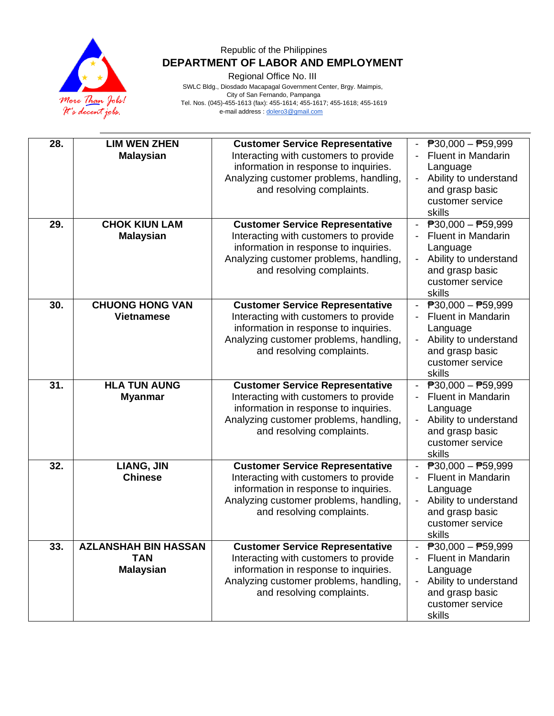

Regional Office No. III

| 28. | <b>LIM WEN ZHEN</b>         | <b>Customer Service Representative</b> | $\overline{P}30,000 - \overline{P}59,999$ |
|-----|-----------------------------|----------------------------------------|-------------------------------------------|
|     | <b>Malaysian</b>            | Interacting with customers to provide  | <b>Fluent in Mandarin</b>                 |
|     |                             | information in response to inquiries.  | Language                                  |
|     |                             | Analyzing customer problems, handling, | Ability to understand                     |
|     |                             | and resolving complaints.              | and grasp basic                           |
|     |                             |                                        | customer service                          |
|     |                             |                                        | skills                                    |
| 29. | <b>CHOK KIUN LAM</b>        | <b>Customer Service Representative</b> | $\overline{P}30,000 - \overline{P}59,999$ |
|     | <b>Malaysian</b>            | Interacting with customers to provide  | <b>Fluent in Mandarin</b>                 |
|     |                             | information in response to inquiries.  | Language                                  |
|     |                             | Analyzing customer problems, handling, | Ability to understand                     |
|     |                             | and resolving complaints.              | and grasp basic                           |
|     |                             |                                        | customer service                          |
|     |                             |                                        | skills                                    |
| 30. | <b>CHUONG HONG VAN</b>      | <b>Customer Service Representative</b> | $\overline{P}30,000 - \overline{P}59,999$ |
|     | <b>Vietnamese</b>           | Interacting with customers to provide  | <b>Fluent in Mandarin</b>                 |
|     |                             | information in response to inquiries.  | Language                                  |
|     |                             | Analyzing customer problems, handling, | Ability to understand                     |
|     |                             | and resolving complaints.              | and grasp basic                           |
|     |                             |                                        | customer service                          |
|     |                             |                                        | skills                                    |
| 31. | <b>HLA TUN AUNG</b>         | <b>Customer Service Representative</b> | $\overline{P}30,000 - \overline{P}59,999$ |
|     | <b>Myanmar</b>              | Interacting with customers to provide  | <b>Fluent in Mandarin</b>                 |
|     |                             | information in response to inquiries.  | Language                                  |
|     |                             | Analyzing customer problems, handling, | Ability to understand                     |
|     |                             | and resolving complaints.              | and grasp basic                           |
|     |                             |                                        | customer service                          |
|     |                             |                                        | skills                                    |
| 32. | <b>LIANG, JIN</b>           | <b>Customer Service Representative</b> | $\overline{P}30,000 - \overline{P}59,999$ |
|     | <b>Chinese</b>              | Interacting with customers to provide  | <b>Fluent in Mandarin</b>                 |
|     |                             | information in response to inquiries.  | Language                                  |
|     |                             | Analyzing customer problems, handling, | Ability to understand                     |
|     |                             | and resolving complaints.              | and grasp basic                           |
|     |                             |                                        | customer service                          |
|     |                             |                                        | skills                                    |
| 33. | <b>AZLANSHAH BIN HASSAN</b> | <b>Customer Service Representative</b> | $\overline{P}30,000 - \overline{P}59,999$ |
|     | <b>TAN</b>                  | Interacting with customers to provide  | <b>Fluent in Mandarin</b>                 |
|     | <b>Malaysian</b>            | information in response to inquiries.  | Language                                  |
|     |                             | Analyzing customer problems, handling, | Ability to understand                     |
|     |                             | and resolving complaints.              | and grasp basic                           |
|     |                             |                                        | customer service                          |
|     |                             |                                        | skills                                    |